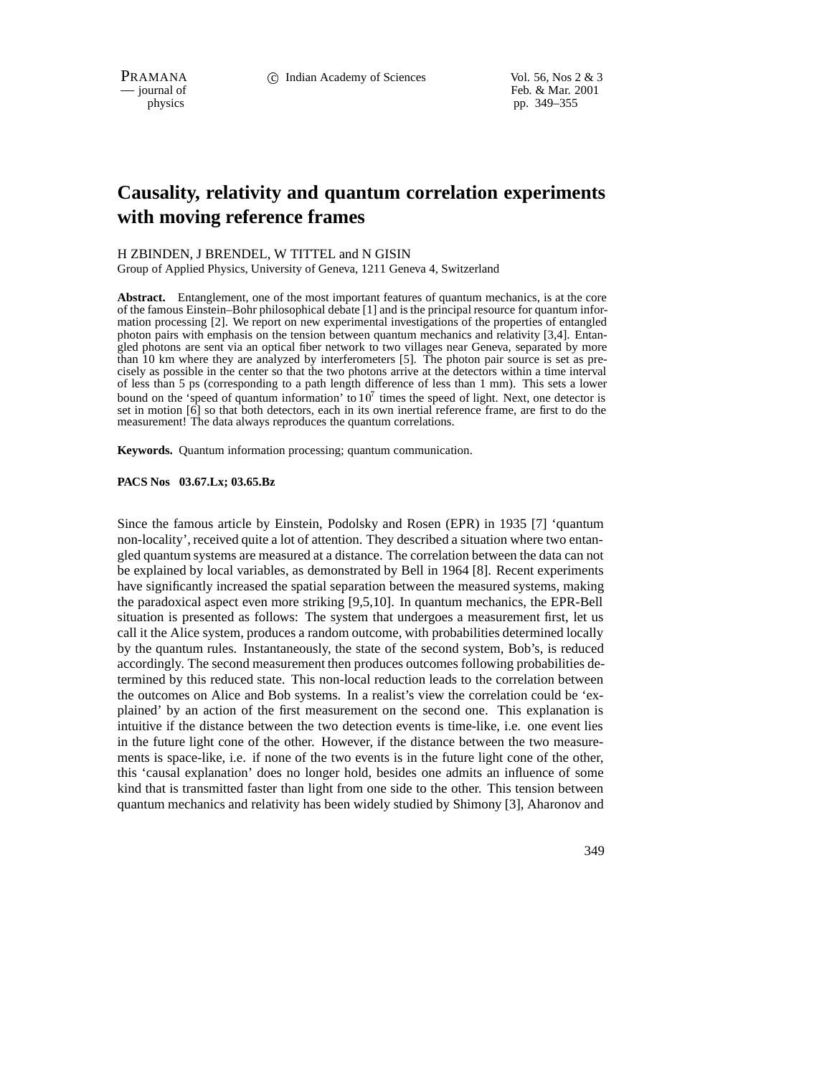PRAMANA 
<sup>c</sup> Indian Academy of Sciences Vol. 56, Nos 2 & 3<br>
c iournal of Feb. & Mar. 2001 Feb. & Mar. 2001 physics pp. 349–355

# **Causality, relativity and quantum correlation experiments with moving reference frames**

### H ZBINDEN, J BRENDEL, W TITTEL and N GISIN

Group of Applied Physics, University of Geneva, 1211 Geneva 4, Switzerland

**Abstract.** Entanglement, one of the most important features of quantum mechanics, is at the core of the famous Einstein–Bohr philosophical debate [1] and is the principal resource for quantum information processing [2]. We report on new experimental investigations of the properties of entangled photon pairs with emphasis on the tension between quantum mechanics and relativity [3,4]. Entangled photons are sent via an optical fiber network to two villages near Geneva, separated by more than 10 km where they are analyzed by interferometers [5]. The photon pair source is set as precisely as possible in the center so that the two photons arrive at the detectors within a time interval of less than 5 ps (corresponding to a path length difference of less than 1 mm). This sets a lower bound on the 'speed of quantum information' to  $10^7$  times the speed of light. Next, one detector is set in motion [6] so that both detectors, each in its own inertial reference frame, are first to do the measurement! The data always reproduces the quantum correlations.

**Keywords.** Quantum information processing; quantum communication.

### **PACS Nos 03.67.Lx; 03.65.Bz**

Since the famous article by Einstein, Podolsky and Rosen (EPR) in 1935 [7] 'quantum non-locality', received quite a lot of attention. They described a situation where two entangled quantum systems are measured at a distance. The correlation between the data can not be explained by local variables, as demonstrated by Bell in 1964 [8]. Recent experiments have significantly increased the spatial separation between the measured systems, making the paradoxical aspect even more striking [9,5,10]. In quantum mechanics, the EPR-Bell situation is presented as follows: The system that undergoes a measurement first, let us call it the Alice system, produces a random outcome, with probabilities determined locally by the quantum rules. Instantaneously, the state of the second system, Bob's, is reduced accordingly. The second measurement then produces outcomes following probabilities determined by this reduced state. This non-local reduction leads to the correlation between the outcomes on Alice and Bob systems. In a realist's view the correlation could be 'explained' by an action of the first measurement on the second one. This explanation is intuitive if the distance between the two detection events is time-like, i.e. one event lies in the future light cone of the other. However, if the distance between the two measurements is space-like, i.e. if none of the two events is in the future light cone of the other, this 'causal explanation' does no longer hold, besides one admits an influence of some kind that is transmitted faster than light from one side to the other. This tension between quantum mechanics and relativity has been widely studied by Shimony [3], Aharonov and

349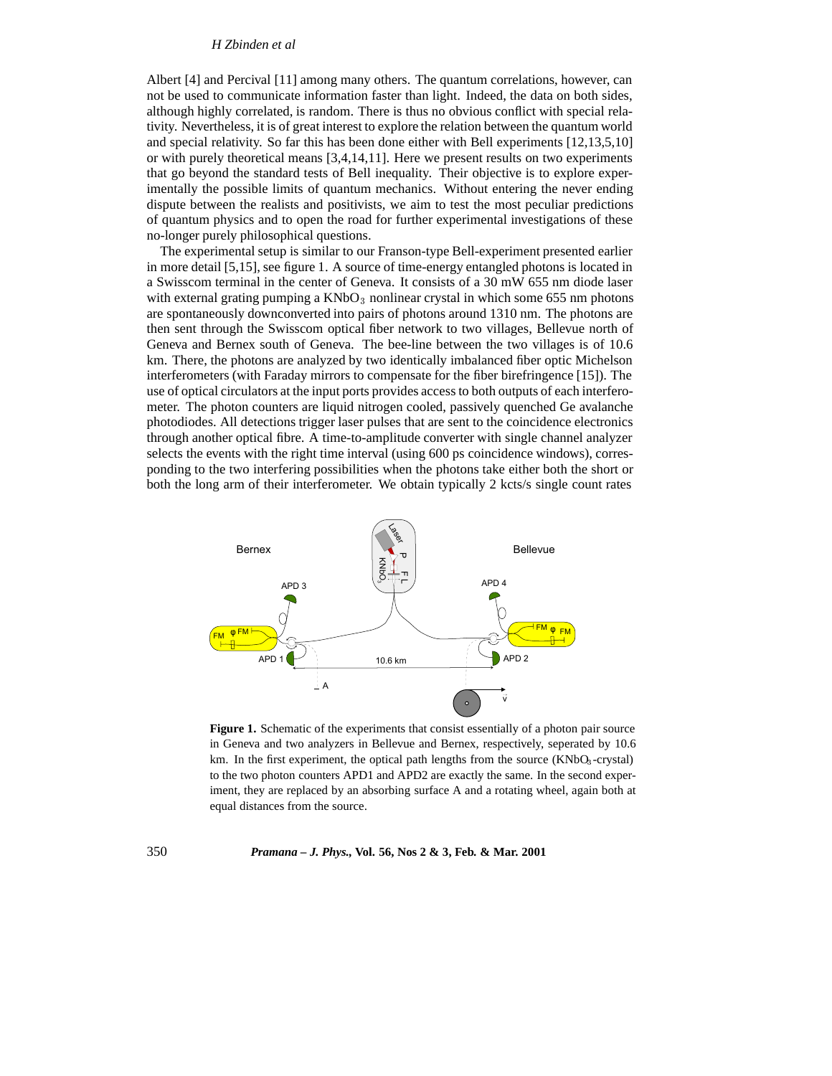## *H Zbinden et al*

Albert [4] and Percival [11] among many others. The quantum correlations, however, can not be used to communicate information faster than light. Indeed, the data on both sides, although highly correlated, is random. There is thus no obvious conflict with special relativity. Nevertheless, it is of great interest to explore the relation between the quantum world and special relativity. So far this has been done either with Bell experiments [12,13,5,10] or with purely theoretical means [3,4,14,11]. Here we present results on two experiments that go beyond the standard tests of Bell inequality. Their objective is to explore experimentally the possible limits of quantum mechanics. Without entering the never ending dispute between the realists and positivists, we aim to test the most peculiar predictions of quantum physics and to open the road for further experimental investigations of these no-longer purely philosophical questions.

The experimental setup is similar to our Franson-type Bell-experiment presented earlier in more detail [5,15], see figure 1. A source of time-energy entangled photons is located in a Swisscom terminal in the center of Geneva. It consists of a 30 mW 655 nm diode laser with external grating pumping a  $KNbO<sub>3</sub>$  nonlinear crystal in which some 655 nm photons are spontaneously downconverted into pairs of photons around 1310 nm. The photons are then sent through the Swisscom optical fiber network to two villages, Bellevue north of Geneva and Bernex south of Geneva. The bee-line between the two villages is of 10.6 km. There, the photons are analyzed by two identically imbalanced fiber optic Michelson interferometers (with Faraday mirrors to compensate for the fiber birefringence [15]). The use of optical circulators at the input ports provides access to both outputs of each interferometer. The photon counters are liquid nitrogen cooled, passively quenched Ge avalanche photodiodes. All detections trigger laser pulses that are sent to the coincidence electronics through another optical fibre. A time-to-amplitude converter with single channel analyzer selects the events with the right time interval (using 600 ps coincidence windows), corresponding to the two interfering possibilities when the photons take either both the short or both the long arm of their interferometer. We obtain typically 2 kcts/s single count rates



**Figure 1.** Schematic of the experiments that consist essentially of a photon pair source in Geneva and two analyzers in Bellevue and Bernex, respectively, seperated by 10.6 km. In the first experiment, the optical path lengths from the source  $(KNbO<sub>3</sub>-crystal)$ to the two photon counters APD1 and APD2 are exactly the same. In the second experiment, they are replaced by an absorbing surface A and a rotating wheel, again both at equal distances from the source.

### 350 *Pramana – J. Phys.,* **Vol. 56, Nos 2 & 3, Feb. & Mar. 2001**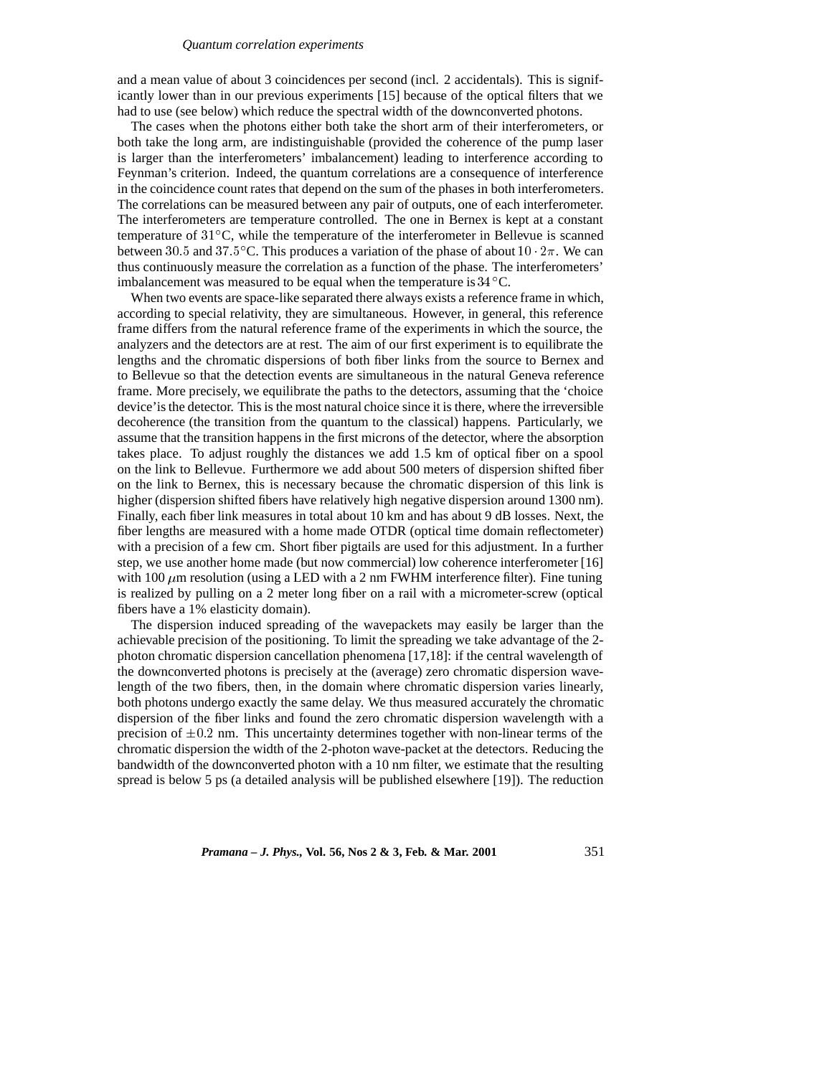#### *Quantum correlation experiments*

and a mean value of about 3 coincidences per second (incl. 2 accidentals). This is significantly lower than in our previous experiments [15] because of the optical filters that we had to use (see below) which reduce the spectral width of the downconverted photons.

The cases when the photons either both take the short arm of their interferometers, or both take the long arm, are indistinguishable (provided the coherence of the pump laser is larger than the interferometers' imbalancement) leading to interference according to Feynman's criterion. Indeed, the quantum correlations are a consequence of interference in the coincidence count rates that depend on the sum of the phases in both interferometers. The correlations can be measured between any pair of outputs, one of each interferometer. The interferometers are temperature controlled. The one in Bernex is kept at a constant temperature of <sup>31</sup> C, while the temperature of the interferometer in Bellevue is scanned between 30.5 and 37.5 °C. This produces a variation of the phase of about  $10 \cdot 2\pi$ . We can thus continuously measure the correlation as a function of the phase. The interferometers' imbalancement was measured to be equal when the temperature is  $34^{\circ}$ C.

When two events are space-like separated there always exists a reference frame in which, according to special relativity, they are simultaneous. However, in general, this reference frame differs from the natural reference frame of the experiments in which the source, the analyzers and the detectors are at rest. The aim of our first experiment is to equilibrate the lengths and the chromatic dispersions of both fiber links from the source to Bernex and to Bellevue so that the detection events are simultaneous in the natural Geneva reference frame. More precisely, we equilibrate the paths to the detectors, assuming that the 'choice device'is the detector. This is the most natural choice since it is there, where the irreversible decoherence (the transition from the quantum to the classical) happens. Particularly, we assume that the transition happens in the first microns of the detector, where the absorption takes place. To adjust roughly the distances we add 1.5 km of optical fiber on a spool on the link to Bellevue. Furthermore we add about 500 meters of dispersion shifted fiber on the link to Bernex, this is necessary because the chromatic dispersion of this link is higher (dispersion shifted fibers have relatively high negative dispersion around 1300 nm). Finally, each fiber link measures in total about 10 km and has about 9 dB losses. Next, the fiber lengths are measured with a home made OTDR (optical time domain reflectometer) with a precision of a few cm. Short fiber pigtails are used for this adjustment. In a further step, we use another home made (but now commercial) low coherence interferometer [16] with 100  $\mu$ m resolution (using a LED with a 2 nm FWHM interference filter). Fine tuning is realized by pulling on a 2 meter long fiber on a rail with a micrometer-screw (optical fibers have a 1% elasticity domain).

The dispersion induced spreading of the wavepackets may easily be larger than the achievable precision of the positioning. To limit the spreading we take advantage of the 2 photon chromatic dispersion cancellation phenomena [17,18]: if the central wavelength of the downconverted photons is precisely at the (average) zero chromatic dispersion wavelength of the two fibers, then, in the domain where chromatic dispersion varies linearly, both photons undergo exactly the same delay. We thus measured accurately the chromatic dispersion of the fiber links and found the zero chromatic dispersion wavelength with a precision of  $\pm 0.2$  nm. This uncertainty determines together with non-linear terms of the chromatic dispersion the width of the 2-photon wave-packet at the detectors. Reducing the bandwidth of the downconverted photon with a 10 nm filter, we estimate that the resulting spread is below 5 ps (a detailed analysis will be published elsewhere [19]). The reduction

*Pramana – J. Phys.,* **Vol. 56, Nos 2 & 3, Feb. & Mar. 2001** 351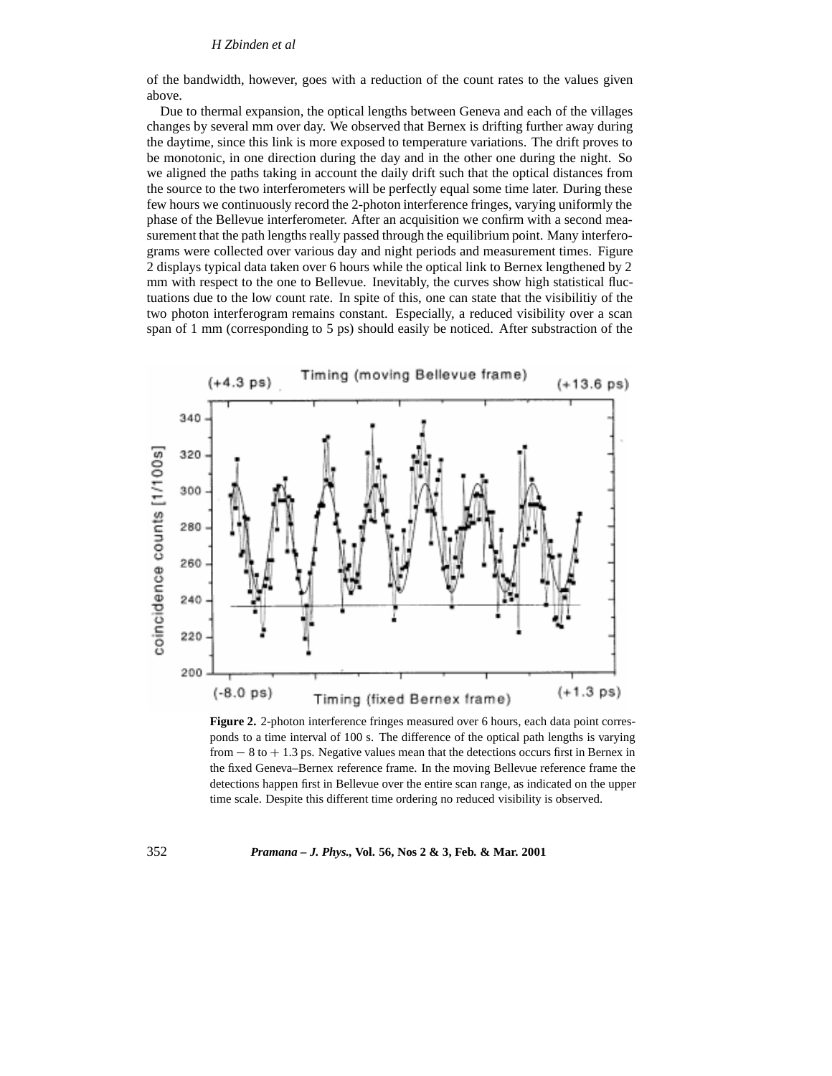of the bandwidth, however, goes with a reduction of the count rates to the values given above.

Due to thermal expansion, the optical lengths between Geneva and each of the villages changes by several mm over day. We observed that Bernex is drifting further away during the daytime, since this link is more exposed to temperature variations. The drift proves to be monotonic, in one direction during the day and in the other one during the night. So we aligned the paths taking in account the daily drift such that the optical distances from the source to the two interferometers will be perfectly equal some time later. During these few hours we continuously record the 2-photon interference fringes, varying uniformly the phase of the Bellevue interferometer. After an acquisition we confirm with a second measurement that the path lengths really passed through the equilibrium point. Many interferograms were collected over various day and night periods and measurement times. Figure 2 displays typical data taken over 6 hours while the optical link to Bernex lengthened by 2 mm with respect to the one to Bellevue. Inevitably, the curves show high statistical fluctuations due to the low count rate. In spite of this, one can state that the visibilitiy of the two photon interferogram remains constant. Especially, a reduced visibility over a scan span of 1 mm (corresponding to 5 ps) should easily be noticed. After substraction of the



**Figure 2.** 2-photon interference fringes measured over 6 hours, each data point corresponds to a time interval of 100 s. The difference of the optical path lengths is varying from  $-8$  to  $+1.3$  ps. Negative values mean that the detections occurs first in Bernex in the fixed Geneva–Bernex reference frame. In the moving Bellevue reference frame the detections happen first in Bellevue over the entire scan range, as indicated on the upper time scale. Despite this different time ordering no reduced visibility is observed.

352 *Pramana – J. Phys.,* **Vol. 56, Nos 2 & 3, Feb. & Mar. 2001**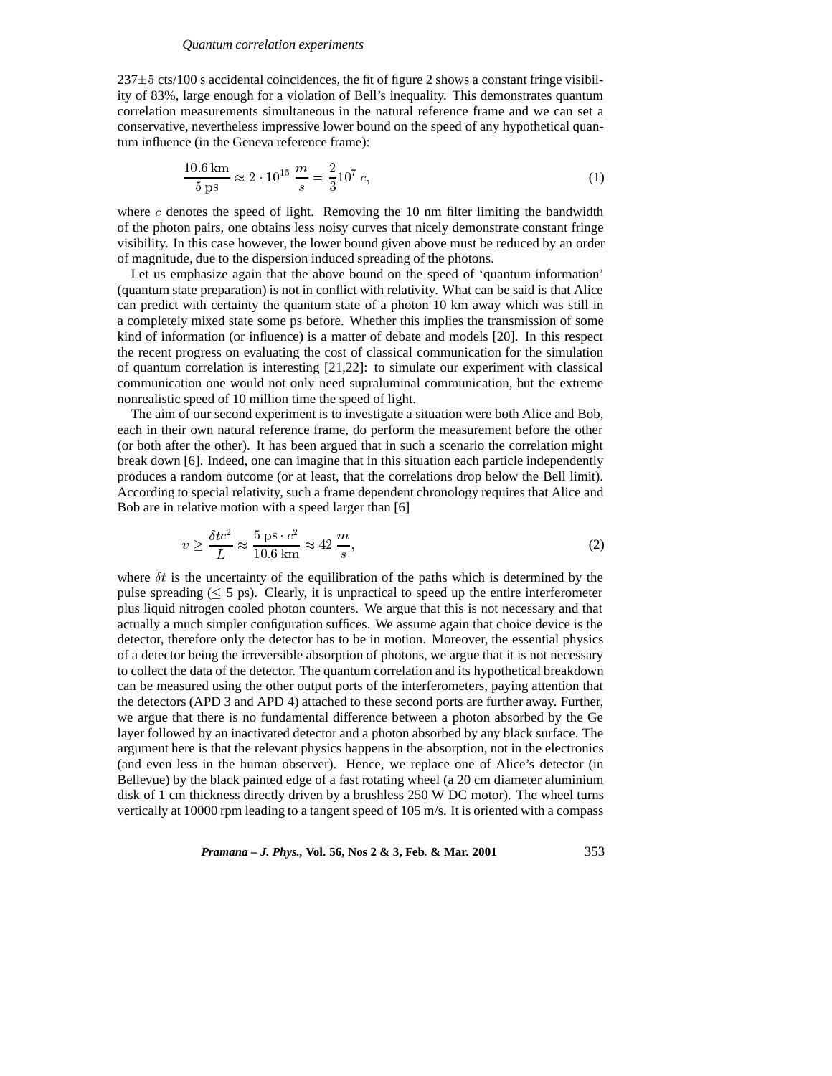$237\pm5$  cts/100 s accidental coincidences, the fit of figure 2 shows a constant fringe visibility of 83%, large enough for a violation of Bell's inequality. This demonstrates quantum correlation measurements simultaneous in the natural reference frame and we can set a conservative, nevertheless impressive lower bound on the speed of any hypothetical quantum influence (in the Geneva reference frame):

$$
\frac{10.6 \text{ km}}{5 \text{ ps}} \approx 2 \cdot 10^{15} \frac{m}{s} = \frac{2}{3} 10^7 c,
$$
 (1)

where  $c$  denotes the speed of light. Removing the 10 nm filter limiting the bandwidth of the photon pairs, one obtains less noisy curves that nicely demonstrate constant fringe visibility. In this case however, the lower bound given above must be reduced by an order of magnitude, due to the dispersion induced spreading of the photons.

Let us emphasize again that the above bound on the speed of 'quantum information' (quantum state preparation) is not in conflict with relativity. What can be said is that Alice can predict with certainty the quantum state of a photon 10 km away which was still in a completely mixed state some ps before. Whether this implies the transmission of some kind of information (or influence) is a matter of debate and models [20]. In this respect the recent progress on evaluating the cost of classical communication for the simulation of quantum correlation is interesting [21,22]: to simulate our experiment with classical communication one would not only need supraluminal communication, but the extreme nonrealistic speed of 10 million time the speed of light.

The aim of our second experiment is to investigate a situation were both Alice and Bob, each in their own natural reference frame, do perform the measurement before the other (or both after the other). It has been argued that in such a scenario the correlation might break down [6]. Indeed, one can imagine that in this situation each particle independently produces a random outcome (or at least, that the correlations drop below the Bell limit). According to special relativity, such a frame dependent chronology requires that Alice and Bob are in relative motion with a speed larger than [6]

$$
v \ge \frac{\delta t c^2}{L} \approx \frac{5 \text{ ps} \cdot c^2}{10.6 \text{ km}} \approx 42 \frac{m}{s},\tag{2}
$$

where  $\delta t$  is the uncertainty of the equilibration of the paths which is determined by the pulse spreading  $(< 5 \text{ ps})$ . Clearly, it is unpractical to speed up the entire interferometer plus liquid nitrogen cooled photon counters. We argue that this is not necessary and that actually a much simpler configuration suffices. We assume again that choice device is the detector, therefore only the detector has to be in motion. Moreover, the essential physics of a detector being the irreversible absorption of photons, we argue that it is not necessary to collect the data of the detector. The quantum correlation and its hypothetical breakdown can be measured using the other output ports of the interferometers, paying attention that the detectors (APD 3 and APD 4) attached to these second ports are further away. Further, we argue that there is no fundamental difference between a photon absorbed by the Ge layer followed by an inactivated detector and a photon absorbed by any black surface. The argument here is that the relevant physics happens in the absorption, not in the electronics (and even less in the human observer). Hence, we replace one of Alice's detector (in Bellevue) by the black painted edge of a fast rotating wheel (a 20 cm diameter aluminium disk of 1 cm thickness directly driven by a brushless 250 W DC motor). The wheel turns vertically at 10000 rpm leading to a tangent speed of 105 m/s. It is oriented with a compass

*Pramana – J. Phys.,* **Vol. 56, Nos 2 & 3, Feb. & Mar. 2001** 353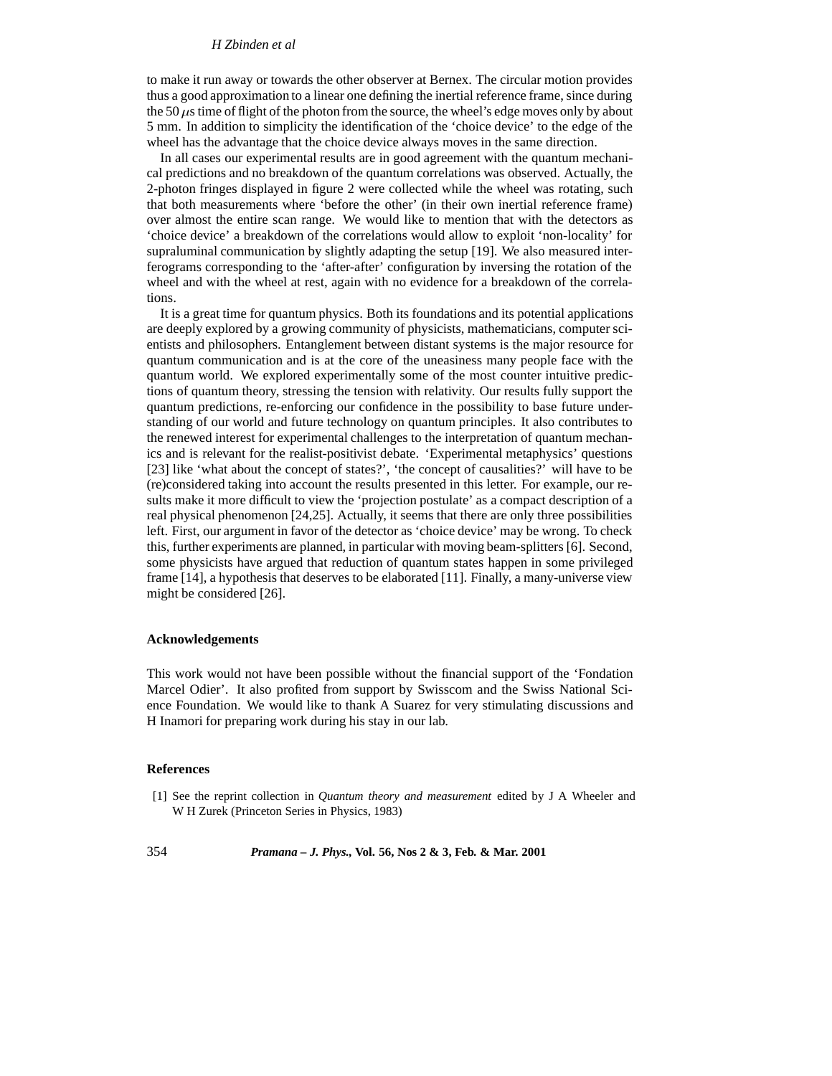## *H Zbinden et al*

to make it run away or towards the other observer at Bernex. The circular motion provides thus a good approximation to a linear one defining the inertial reference frame, since during the 50  $\mu$ s time of flight of the photon from the source, the wheel's edge moves only by about 5 mm. In addition to simplicity the identification of the 'choice device' to the edge of the wheel has the advantage that the choice device always moves in the same direction.

In all cases our experimental results are in good agreement with the quantum mechanical predictions and no breakdown of the quantum correlations was observed. Actually, the 2-photon fringes displayed in figure 2 were collected while the wheel was rotating, such that both measurements where 'before the other' (in their own inertial reference frame) over almost the entire scan range. We would like to mention that with the detectors as 'choice device' a breakdown of the correlations would allow to exploit 'non-locality' for supraluminal communication by slightly adapting the setup [19]. We also measured interferograms corresponding to the 'after-after' configuration by inversing the rotation of the wheel and with the wheel at rest, again with no evidence for a breakdown of the correlations.

It is a great time for quantum physics. Both its foundations and its potential applications are deeply explored by a growing community of physicists, mathematicians, computer scientists and philosophers. Entanglement between distant systems is the major resource for quantum communication and is at the core of the uneasiness many people face with the quantum world. We explored experimentally some of the most counter intuitive predictions of quantum theory, stressing the tension with relativity. Our results fully support the quantum predictions, re-enforcing our confidence in the possibility to base future understanding of our world and future technology on quantum principles. It also contributes to the renewed interest for experimental challenges to the interpretation of quantum mechanics and is relevant for the realist-positivist debate. 'Experimental metaphysics' questions [23] like 'what about the concept of states?', 'the concept of causalities?' will have to be (re)considered taking into account the results presented in this letter. For example, our results make it more difficult to view the 'projection postulate' as a compact description of a real physical phenomenon [24,25]. Actually, it seems that there are only three possibilities left. First, our argument in favor of the detector as 'choice device' may be wrong. To check this, further experiments are planned, in particular with moving beam-splitters [6]. Second, some physicists have argued that reduction of quantum states happen in some privileged frame [14], a hypothesis that deserves to be elaborated [11]. Finally, a many-universe view might be considered [26].

#### **Acknowledgements**

This work would not have been possible without the financial support of the 'Fondation Marcel Odier'. It also profited from support by Swisscom and the Swiss National Science Foundation. We would like to thank A Suarez for very stimulating discussions and H Inamori for preparing work during his stay in our lab.

## **References**

[1] See the reprint collection in *Quantum theory and measurement* edited by J A Wheeler and W H Zurek (Princeton Series in Physics, 1983)

354 *Pramana – J. Phys.,* **Vol. 56, Nos 2 & 3, Feb. & Mar. 2001**